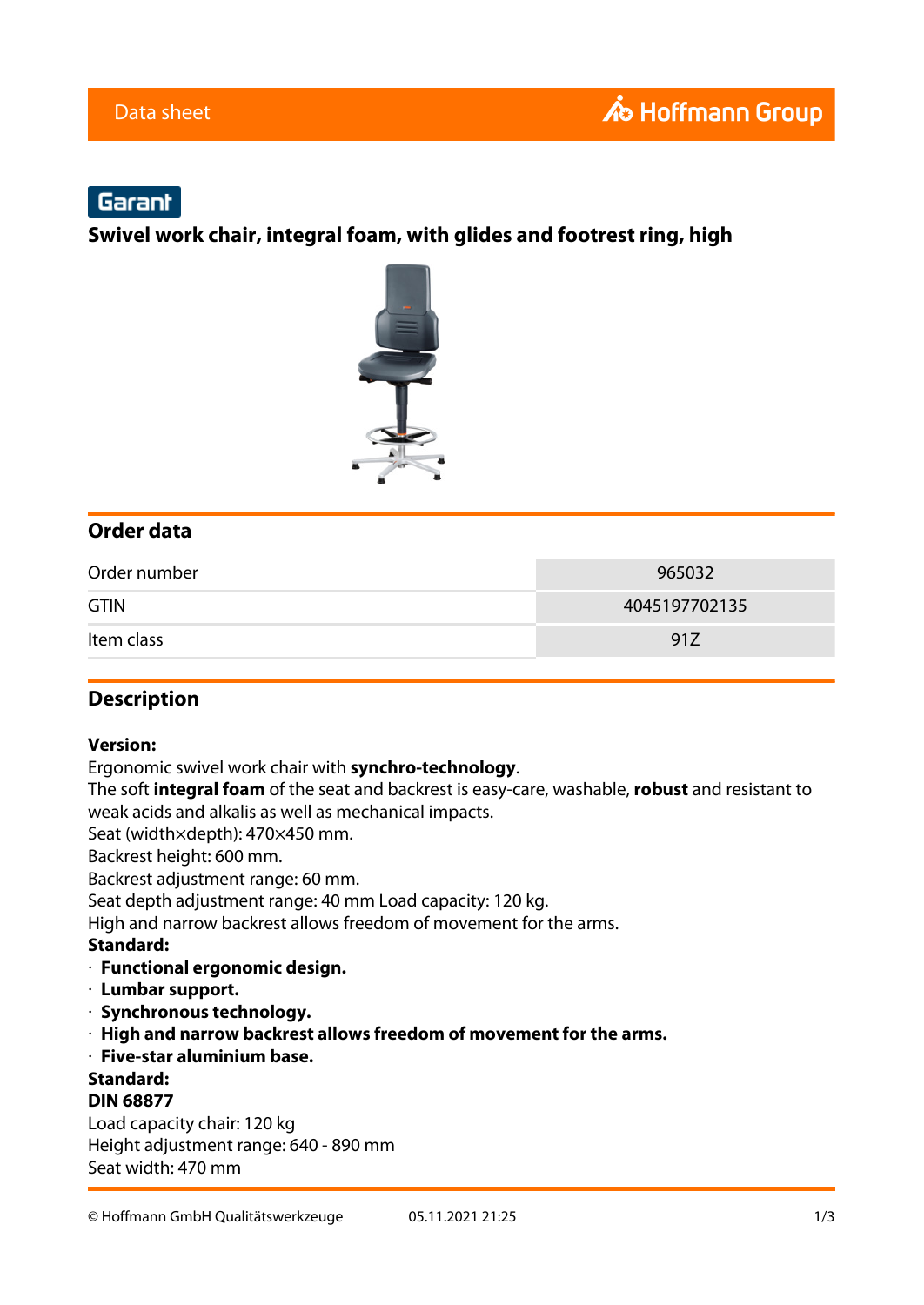# Garant

**Swivel work chair, integral foam, with glides and footrest ring, high**



### **Order data**

| Order number | 965032        |
|--------------|---------------|
| <b>GTIN</b>  | 4045197702135 |
| Item class   | 91Z           |

#### **Description**

#### **Version:**

Ergonomic swivel work chair with **synchro-technology**.

The soft **integral foam** of the seat and backrest is easy-care, washable, **robust** and resistant to weak acids and alkalis as well as mechanical impacts.

Seat (width×depth): 470×450 mm.

Backrest height: 600 mm.

Backrest adjustment range: 60 mm.

Seat depth adjustment range: 40 mm Load capacity: 120 kg.

High and narrow backrest allows freedom of movement for the arms.

#### **Standard:**

- · **Functional ergonomic design.**
- · **Lumbar support.**
- · **Synchronous technology.**
- · **High and narrow backrest allows freedom of movement for the arms.**
- · **Five-star aluminium base.**

**Standard:**

#### **DIN 68877**

Load capacity chair: 120 kg Height adjustment range: 640 - 890 mm Seat width: 470 mm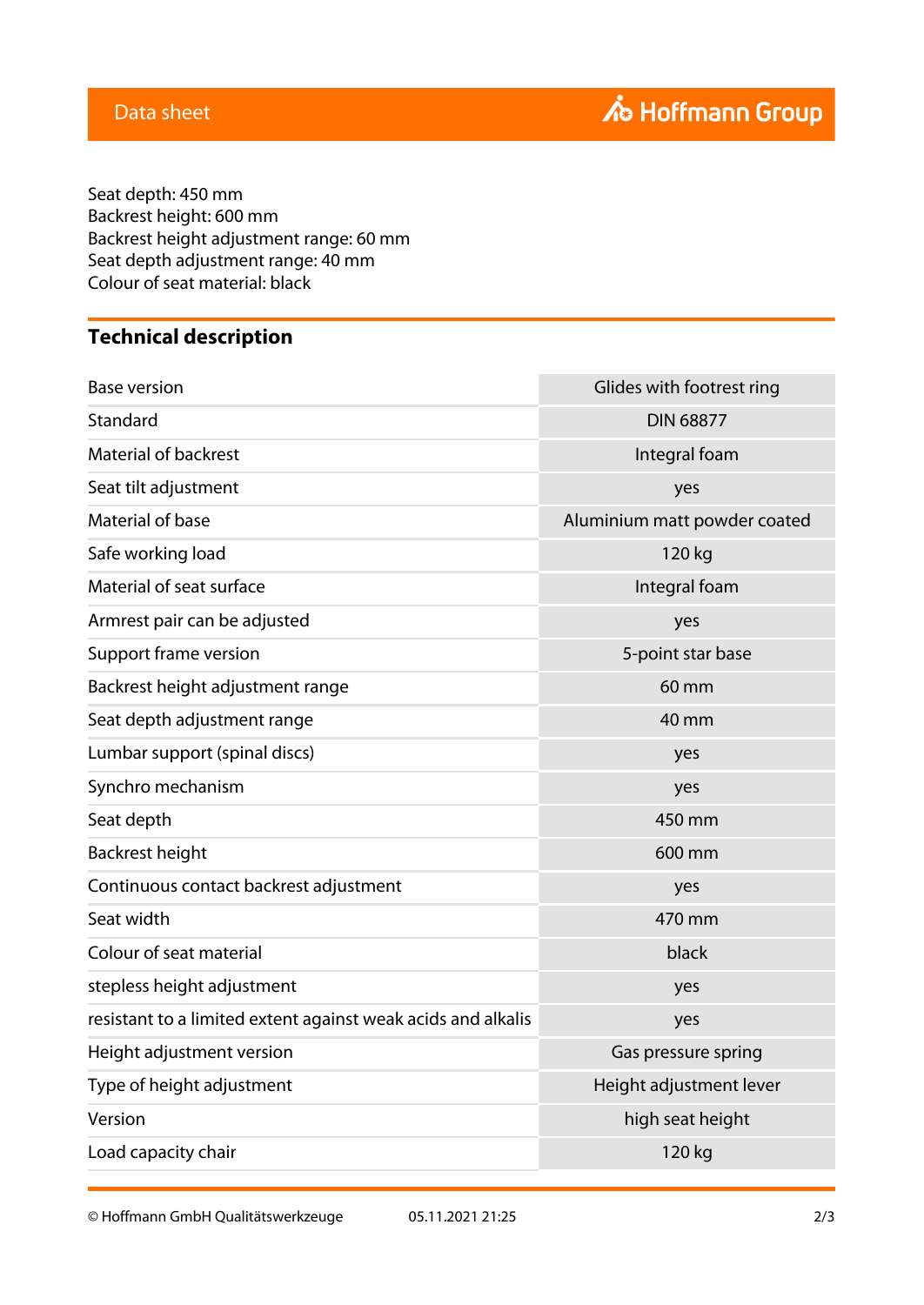Seat depth: 450 mm Backrest height: 600 mm Backrest height adjustment range: 60 mm Seat depth adjustment range: 40 mm Colour of seat material: black

## **Technical description**

| <b>Base version</b>                                          | Glides with footrest ring    |
|--------------------------------------------------------------|------------------------------|
| Standard                                                     | <b>DIN 68877</b>             |
| <b>Material of backrest</b>                                  | Integral foam                |
| Seat tilt adjustment                                         | yes                          |
| Material of base                                             | Aluminium matt powder coated |
| Safe working load                                            | 120 kg                       |
| Material of seat surface                                     | Integral foam                |
| Armrest pair can be adjusted                                 | yes                          |
| Support frame version                                        | 5-point star base            |
| Backrest height adjustment range                             | 60 mm                        |
| Seat depth adjustment range                                  | 40 mm                        |
| Lumbar support (spinal discs)                                | yes                          |
| Synchro mechanism                                            | yes                          |
| Seat depth                                                   | 450 mm                       |
| <b>Backrest height</b>                                       | 600 mm                       |
| Continuous contact backrest adjustment                       | yes                          |
| Seat width                                                   | 470 mm                       |
| Colour of seat material                                      | black                        |
| stepless height adjustment                                   | yes                          |
| resistant to a limited extent against weak acids and alkalis | yes                          |
| Height adjustment version                                    | Gas pressure spring          |
| Type of height adjustment                                    | Height adjustment lever      |
| Version                                                      | high seat height             |
| Load capacity chair                                          | 120 kg                       |

© Hoffmann GmbH Qualitätswerkzeuge 05.11.2021 21:25 2/3